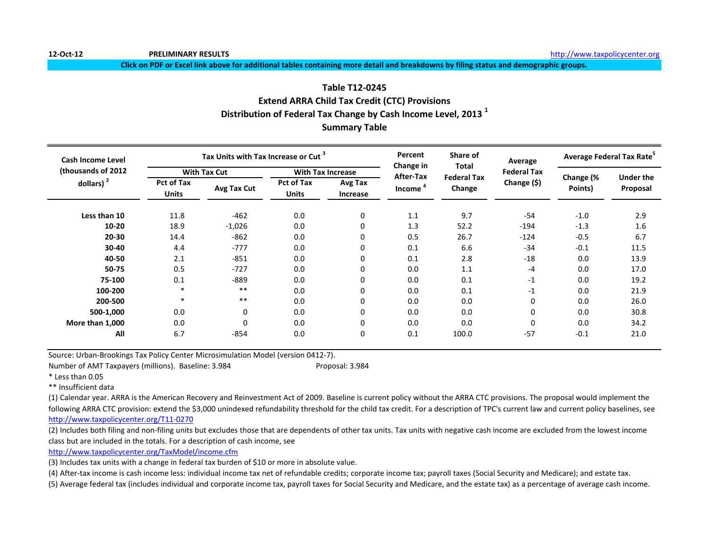**12-Oct-12 PRELIMINARY RESULTS** [h](http://www.taxpolicycenter.org/)ttp://www.taxpolicycenter.org

**Click on PDF or Excel link above for additional tables containing more detail and breakdowns by filing status and demographic groups.**

# **Table T12-0245 Extend ARRA Child Tax Credit (CTC) Provisions Distribution of Federal Tax Change by Cash Income Level, 2013 <sup>1</sup> Summary Table**

| Cash Income Level   |                                   | Tax Units with Tax Increase or Cut <sup>3</sup> |                                   |                          | Percent                | Share of                     | Average            |                      | Average Federal Tax Rate <sup>5</sup> |
|---------------------|-----------------------------------|-------------------------------------------------|-----------------------------------|--------------------------|------------------------|------------------------------|--------------------|----------------------|---------------------------------------|
| (thousands of 2012) |                                   | <b>With Tax Cut</b>                             |                                   | <b>With Tax Increase</b> | Change in<br>After-Tax | <b>Total</b>                 | <b>Federal Tax</b> |                      |                                       |
| dollars) $2$        | <b>Pct of Tax</b><br><b>Units</b> | Avg Tax Cut                                     | <b>Pct of Tax</b><br><b>Units</b> | Avg Tax<br>Increase      | Income <sup>4</sup>    | <b>Federal Tax</b><br>Change | Change (\$)        | Change (%<br>Points) | <b>Under the</b><br>Proposal          |
| Less than 10        | 11.8                              | $-462$                                          | 0.0                               | 0                        | 1.1                    | 9.7                          | $-54$              | $-1.0$               | 2.9                                   |
| $10 - 20$           | 18.9                              | $-1,026$                                        | 0.0                               | 0                        | 1.3                    | 52.2                         | $-194$             | $-1.3$               | 1.6                                   |
| 20-30               | 14.4                              | $-862$                                          | 0.0                               | 0                        | 0.5                    | 26.7                         | $-124$             | $-0.5$               | 6.7                                   |
| 30-40               | 4.4                               | $-777$                                          | 0.0                               | 0                        | 0.1                    | 6.6                          | $-34$              | $-0.1$               | 11.5                                  |
| 40-50               | 2.1                               | $-851$                                          | 0.0                               | 0                        | 0.1                    | 2.8                          | $-18$              | 0.0                  | 13.9                                  |
| 50-75               | 0.5                               | $-727$                                          | 0.0                               | 0                        | 0.0                    | 1.1                          | $-4$               | 0.0                  | 17.0                                  |
| 75-100              | 0.1                               | $-889$                                          | 0.0                               | 0                        | 0.0                    | 0.1                          | $-1$               | 0.0                  | 19.2                                  |
| 100-200             | $\ast$                            | $***$                                           | 0.0                               | 0                        | 0.0                    | 0.1                          | $-1$               | 0.0                  | 21.9                                  |
| 200-500             | $\ast$                            | $***$                                           | 0.0                               | 0                        | 0.0                    | 0.0                          | 0                  | 0.0                  | 26.0                                  |
| 500-1,000           | 0.0                               | 0                                               | 0.0                               | 0                        | 0.0                    | 0.0                          | 0                  | 0.0                  | 30.8                                  |
| More than 1,000     | 0.0                               | 0                                               | 0.0                               | 0                        | 0.0                    | 0.0                          | 0                  | 0.0                  | 34.2                                  |
| All                 | 6.7                               | $-854$                                          | 0.0                               | 0                        | 0.1                    | 100.0                        | $-57$              | $-0.1$               | 21.0                                  |

Source: Urban-Brookings Tax Policy Center Microsimulation Model (version 0412-7).

Number of AMT Taxpayers (millions). Baseline: 3.984 Proposal: 3.984

\* Less than 0.05

\*\* Insufficient data

(1) Calendar year. ARRA is the American Recovery and Reinvestment Act of 2009. Baseline is current policy without the ARRA CTC provisions. The proposal would implement the following ARRA CTC provision: extend the \$3,000 unindexed refundability threshold for the child tax credit. For a description of TPC's current law and current policy baselines, see [http://www.taxpolicycente](http://www.taxpolicycenter.org/T11-0270)r.org/T11-0270

(2) Includes both filing and non-filing units but excludes those that are dependents of other tax units. Tax units with negative cash income are excluded from the lowest income class but are included in the totals. For a description of cash income, see

[http://www.taxpolicycente](http://www.taxpolicycenter.org/TaxModel/income.cfm)r.org/TaxModel/income.cfm

(3) Includes tax units with a change in federal tax burden of \$10 or more in absolute value.

(4) After-tax income is cash income less: individual income tax net of refundable credits; corporate income tax; payroll taxes (Social Security and Medicare); and estate tax.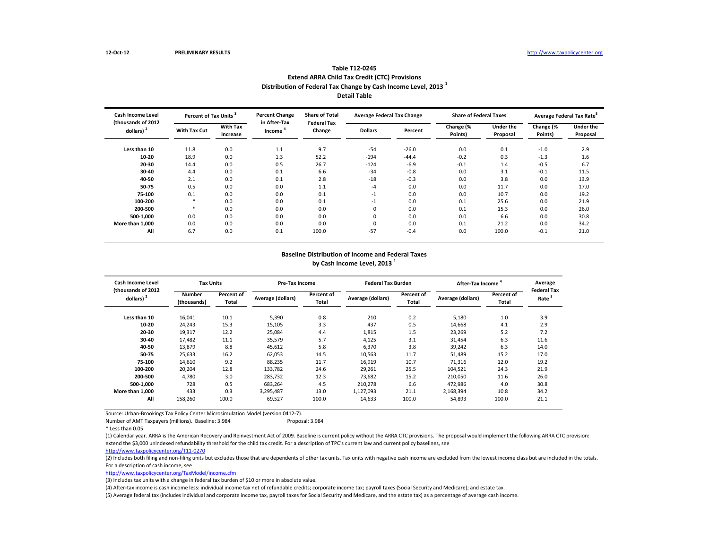# **Table T12-0245 Extend ARRA Child Tax Credit (CTC) Provisions Distribution of Federal Tax Change by Cash Income Level, 2013 <sup>1</sup>**

**Detail Table**

| <b>Cash Income Level</b><br>(thousands of 2012) |              | Percent of Tax Units <sup>3</sup> |                                     | <b>Share of Total</b><br><b>Federal Tax</b> | <b>Average Federal Tax Change</b> |         | <b>Share of Federal Taxes</b> |                              |                      | Average Federal Tax Rate <sup>5</sup> |
|-------------------------------------------------|--------------|-----------------------------------|-------------------------------------|---------------------------------------------|-----------------------------------|---------|-------------------------------|------------------------------|----------------------|---------------------------------------|
| dollars) $2$                                    | With Tax Cut | <b>With Tax</b><br>Increase       | in After-Tax<br>Income <sup>'</sup> | Change                                      | <b>Dollars</b>                    | Percent | Change (%<br>Points)          | <b>Under the</b><br>Proposal | Change (%<br>Points) | <b>Under the</b><br>Proposal          |
| Less than 10                                    | 11.8         | 0.0                               | 1.1                                 | 9.7                                         | $-54$                             | $-26.0$ | 0.0                           | 0.1                          | $-1.0$               | 2.9                                   |
| 10-20                                           | 18.9         | 0.0                               | 1.3                                 | 52.2                                        | $-194$                            | $-44.4$ | $-0.2$                        | 0.3                          | $-1.3$               | 1.6                                   |
| 20-30                                           | 14.4         | 0.0                               | 0.5                                 | 26.7                                        | $-124$                            | $-6.9$  | $-0.1$                        | 1.4                          | $-0.5$               | 6.7                                   |
| 30-40                                           | 4.4          | 0.0                               | 0.1                                 | 6.6                                         | $-34$                             | $-0.8$  | 0.0                           | 3.1                          | $-0.1$               | 11.5                                  |
| 40-50                                           | 2.1          | 0.0                               | 0.1                                 | 2.8                                         | $-18$                             | $-0.3$  | 0.0                           | 3.8                          | 0.0                  | 13.9                                  |
| 50-75                                           | 0.5          | 0.0                               | 0.0                                 | 1.1                                         | $-4$                              | 0.0     | 0.0                           | 11.7                         | 0.0                  | 17.0                                  |
| 75-100                                          | 0.1          | 0.0                               | 0.0                                 | 0.1                                         | $-1$                              | 0.0     | 0.0                           | 10.7                         | 0.0                  | 19.2                                  |
| 100-200                                         | ×            | 0.0                               | 0.0                                 | 0.1                                         | $-1$                              | 0.0     | 0.1                           | 25.6                         | 0.0                  | 21.9                                  |
| 200-500                                         | $\ast$       | 0.0                               | 0.0                                 | 0.0                                         | 0                                 | 0.0     | 0.1                           | 15.3                         | 0.0                  | 26.0                                  |
| 500-1.000                                       | 0.0          | 0.0                               | 0.0                                 | 0.0                                         | 0                                 | 0.0     | 0.0                           | 6.6                          | 0.0                  | 30.8                                  |
| More than 1.000                                 | 0.0          | 0.0                               | 0.0                                 | 0.0                                         | 0                                 | 0.0     | 0.1                           | 21.2                         | 0.0                  | 34.2                                  |
| All                                             | 6.7          | 0.0                               | 0.1                                 | 100.0                                       | $-57$                             | $-0.4$  | 0.0                           | 100.0                        | $-0.1$               | 21.0                                  |

#### **Baseline Distribution of Income and Federal Taxes by Cash Income Level, 2013 <sup>1</sup>**

| Cash Income Level<br>(thousands of 2012) |                                                                          | <b>Tax Units</b> |                     | Pre-Tax Income    |                     | <b>Federal Tax Burden</b>                |           | After-Tax Income                        |      |  |
|------------------------------------------|--------------------------------------------------------------------------|------------------|---------------------|-------------------|---------------------|------------------------------------------|-----------|-----------------------------------------|------|--|
| dollars) <sup>2</sup>                    | Percent of<br><b>Number</b><br>Average (dollars)<br>(thousands)<br>Total |                  | Percent of<br>Total | Average (dollars) | Percent of<br>Total | Percent of<br>Average (dollars)<br>Total |           | <b>Federal Tax</b><br>Rate <sup>5</sup> |      |  |
| Less than 10                             | 16,041                                                                   | 10.1             | 5,390               | 0.8               | 210                 | 0.2                                      | 5,180     | 1.0                                     | 3.9  |  |
| 10-20                                    | 24,243                                                                   | 15.3             | 15.105              | 3.3               | 437                 | 0.5                                      | 14.668    | 4.1                                     | 2.9  |  |
| 20-30                                    | 19,317                                                                   | 12.2             | 25,084              | 4.4               | 1,815               | 1.5                                      | 23,269    | 5.2                                     | 7.2  |  |
| 30-40                                    | 17,482                                                                   | 11.1             | 35,579              | 5.7               | 4,125               | 3.1                                      | 31,454    | 6.3                                     | 11.6 |  |
| 40-50                                    | 13,879                                                                   | 8.8              | 45,612              | 5.8               | 6,370               | 3.8                                      | 39,242    | 6.3                                     | 14.0 |  |
| 50-75                                    | 25,633                                                                   | 16.2             | 62,053              | 14.5              | 10,563              | 11.7                                     | 51,489    | 15.2                                    | 17.0 |  |
| 75-100                                   | 14,610                                                                   | 9.2              | 88,235              | 11.7              | 16,919              | 10.7                                     | 71,316    | 12.0                                    | 19.2 |  |
| 100-200                                  | 20,204                                                                   | 12.8             | 133,782             | 24.6              | 29,261              | 25.5                                     | 104,521   | 24.3                                    | 21.9 |  |
| 200-500                                  | 4.780                                                                    | 3.0              | 283,732             | 12.3              | 73.682              | 15.2                                     | 210,050   | 11.6                                    | 26.0 |  |
| 500-1.000                                | 728                                                                      | 0.5              | 683.264             | 4.5               | 210.278             | 6.6                                      | 472,986   | 4.0                                     | 30.8 |  |
| More than 1.000                          | 433                                                                      | 0.3              | 3,295,487           | 13.0              | 1,127,093           | 21.1                                     | 2,168,394 | 10.8                                    | 34.2 |  |
| All                                      | 158,260                                                                  | 100.0            | 69,527              | 100.0             | 14,633              | 100.0                                    | 54,893    | 100.0                                   | 21.1 |  |

Source: Urban-Brookings Tax Policy Center Microsimulation Model (version 0412-7). Number of AMT Taxpayers (millions). Baseline: 3.984

(1) Calendar year. ARRA is the American Recovery and Reinvestment Act of 2009. Baseline is current policy without the ARRA CTC provisions. The proposal would implement the following ARRA CTC provision: extend the \$3,000 unindexed refundability threshold for the child tax credit. For a description of TPC's current law and current policy baselines, see

[http://www.taxpolicycente](http://www.taxpolicycenter.org/T11-0270)r.org/T11-0270

(2) Includes both filing and non-filing units but excludes those that are dependents of other tax units. Tax units with negative cash income are excluded from the lowest income class but are included in the totals. For a description of cash income, see

[http://www.taxpolicycente](http://www.taxpolicycenter.org/TaxModel/income.cfm)r.org/TaxModel/income.cfm

(3) Includes tax units with a change in federal tax burden of \$10 or more in absolute value.

(4) After-tax income is cash income less: individual income tax net of refundable credits; corporate income tax; payroll taxes (Social Security and Medicare); and estate tax.

<sup>\*</sup> Less than 0.05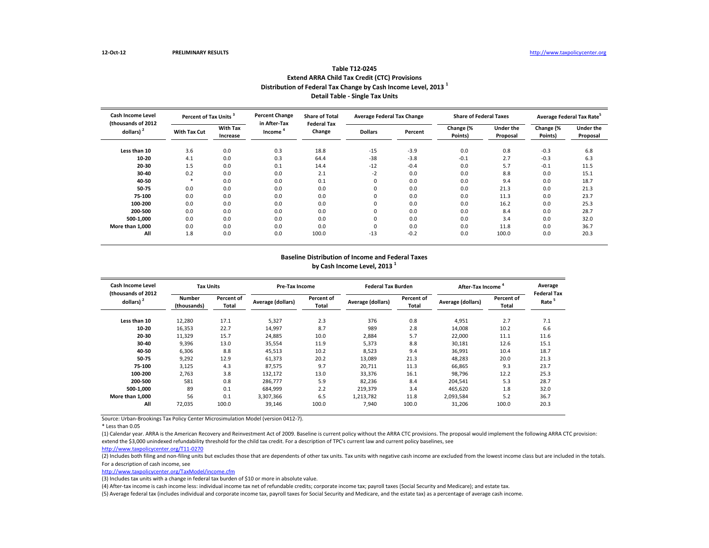**Average Federal Tax Rate<sup>5</sup>** 

**Under the Proposal**

**Cash Income Level (thousands of 2012 dollars) <sup>2</sup>**

|                                |                                   |                             |                                     | <b>Extend ARRA Child Tax Credit (CTC) Provisions</b><br>Distribution of Federal Tax Change by Cash Income Level, 2013 | <b>Detail Table - Single Tax Units</b> |         |                      |                               |                      |                               |  |
|--------------------------------|-----------------------------------|-----------------------------|-------------------------------------|-----------------------------------------------------------------------------------------------------------------------|----------------------------------------|---------|----------------------|-------------------------------|----------------------|-------------------------------|--|
| Income Level                   | Percent of Tax Units <sup>3</sup> |                             | <b>Percent Change</b>               | <b>Share of Total</b>                                                                                                 | <b>Average Federal Tax Change</b>      |         |                      | <b>Share of Federal Taxes</b> |                      | <b>Average Federal Tax Ra</b> |  |
| usands of 2012<br>dollars) $2$ | With Tax Cut                      | <b>With Tax</b><br>Increase | in After-Tax<br>Income <sup>4</sup> | <b>Federal Tax</b><br>Change                                                                                          | <b>Dollars</b>                         | Percent | Change (%<br>Points) | <b>Under the</b><br>Proposal  | Change (%<br>Points) | Under<br>Propo                |  |
| Less than 10                   | 3.6                               | 0.0                         | 0.3                                 | 18.8                                                                                                                  | $-15$                                  | $-3.9$  | 0.0                  | 0.8                           | $-0.3$               | 6.8                           |  |

**10-20** 4.1 0.0 0.3 64.4 -38 -3.8 -0.1 2.7 -0.3 6.3 **20-30** 1.5 0.0 0.1 14.4 -12 -0.4 0.0 5.7 -0.1 11.5 **30-40** 0.2 0.0 0.0 2.1 -2 0.0 0.0 8.8 0.0 15.1 **40-50** \* 0.0 0.0 0.1 0 0.0 0.0 9.4 0.0 18.7 **50-75** 0.0 0.0 0.0 0.0 0 0.0 0.0 21.3 0.0 21.3 **75-100** 0.0 0.0 0.0 0.0 0 0.0 0.0 11.3 0.0 23.7 **100-200** 0.0 0.0 0.0 0.0 0 0.0 0.0 16.2 0.0 25.3 **200-500** 0.0 0.0 0.0 0.0 0 0.0 0.0 8.4 0.0 28.7 **500-1,000** 0.0 0.0 0.0 0.0 0 0.0 0.0 3.4 0.0 32.0 **More than 1,000** 0.0 0.0 0.0 0.0 0 0.0 0.0 11.8 0.0 36.7

**All** 1.8 0.0 0.0 100.0 -13 -0.2 0.0 100.0 0.0 20.3

# **Table T12-0245**

#### **Baseline Distribution of Income and Federal Taxes by Cash Income Level, 2013 <sup>1</sup>**

| Cash Income Level<br>(thousands of 2012) | <b>Tax Units</b>      |                     |                   | <b>Pre-Tax Income</b> |                   | <b>Federal Tax Burden</b> | <b>After-Tax Income</b> |                     | Average<br><b>Federal Tax</b> |
|------------------------------------------|-----------------------|---------------------|-------------------|-----------------------|-------------------|---------------------------|-------------------------|---------------------|-------------------------------|
| dollars) <sup>2</sup>                    | Number<br>(thousands) | Percent of<br>Total | Average (dollars) | Percent of<br>Total   | Average (dollars) | Percent of<br>Total       | Average (dollars)       | Percent of<br>Total | Rate <sup>5</sup>             |
| Less than 10                             | 12,280                | 17.1                | 5,327             | 2.3                   | 376               | 0.8                       | 4,951                   | 2.7                 | 7.1                           |
| 10-20                                    | 16,353                | 22.7                | 14,997            | 8.7                   | 989               | 2.8                       | 14,008                  | 10.2                | 6.6                           |
| 20-30                                    | 11,329                | 15.7                | 24,885            | 10.0                  | 2,884             | 5.7                       | 22,000                  | 11.1                | 11.6                          |
| 30-40                                    | 9,396                 | 13.0                | 35,554            | 11.9                  | 5,373             | 8.8                       | 30,181                  | 12.6                | 15.1                          |
| 40-50                                    | 6,306                 | 8.8                 | 45,513            | 10.2                  | 8,523             | 9.4                       | 36,991                  | 10.4                | 18.7                          |
| 50-75                                    | 9,292                 | 12.9                | 61,373            | 20.2                  | 13,089            | 21.3                      | 48,283                  | 20.0                | 21.3                          |
| 75-100                                   | 3,125                 | 4.3                 | 87,575            | 9.7                   | 20,711            | 11.3                      | 66,865                  | 9.3                 | 23.7                          |
| 100-200                                  | 2,763                 | 3.8                 | 132,172           | 13.0                  | 33,376            | 16.1                      | 98,796                  | 12.2                | 25.3                          |
| 200-500                                  | 581                   | 0.8                 | 286,777           | 5.9                   | 82,236            | 8.4                       | 204,541                 | 5.3                 | 28.7                          |
| 500-1.000                                | 89                    | 0.1                 | 684,999           | 2.2                   | 219,379           | 3.4                       | 465,620                 | 1.8                 | 32.0                          |
| More than 1.000                          | 56                    | 0.1                 | 3,307,366         | 6.5                   | 1,213,782         | 11.8                      | 2,093,584               | 5.2                 | 36.7                          |
| All                                      | 72,035                | 100.0               | 39,146            | 100.0                 | 7,940             | 100.0                     | 31,206                  | 100.0               | 20.3                          |

Source: Urban-Brookings Tax Policy Center Microsimulation Model (version 0412-7).

\* Less than 0.05

(1) Calendar year. ARRA is the American Recovery and Reinvestment Act of 2009. Baseline is current policy without the ARRA CTC provisions. The proposal would implement the following ARRA CTC provision: extend the \$3,000 unindexed refundability threshold for the child tax credit. For a description of TPC's current law and current policy baselines, see

[http://www.taxpolicycente](http://www.taxpolicycenter.org/T11-0270)r.org/T11-0270

(2) Includes both filing and non-filing units but excludes those that are dependents of other tax units. Tax units with negative cash income are excluded from the lowest income class but are included in the totals. For a description of cash income, see

[http://www.taxpolicycente](http://www.taxpolicycenter.org/TaxModel/income.cfm)r.org/TaxModel/income.cfm

(3) Includes tax units with a change in federal tax burden of \$10 or more in absolute value.

(4) After-tax income is cash income less: individual income tax net of refundable credits; corporate income tax; payroll taxes (Social Security and Medicare); and estate tax.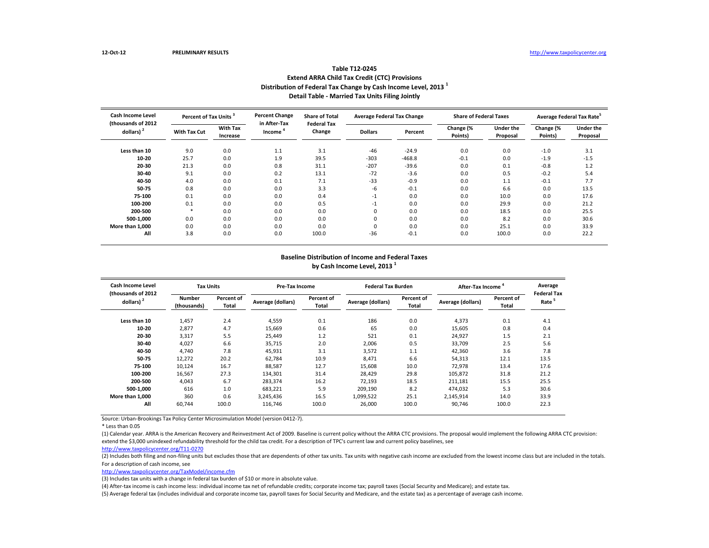| Table TTZ 0245                                                             |
|----------------------------------------------------------------------------|
| <b>Extend ARRA Child Tax Credit (CTC) Provisions</b>                       |
| Distribution of Federal Tax Change by Cash Income Level, 2013 <sup>1</sup> |
| Detail Table - Married Tax Units Filing Jointly                            |

**Table T12-0245**

| <b>Cash Income Level</b><br>(thousands of 2012) |                     | Percent of Tax Units <sup>3</sup> |                                     | <b>Share of Total</b>        | <b>Average Federal Tax Change</b> |          | <b>Share of Federal Taxes</b> |                              | Average Federal Tax Rate |                              |
|-------------------------------------------------|---------------------|-----------------------------------|-------------------------------------|------------------------------|-----------------------------------|----------|-------------------------------|------------------------------|--------------------------|------------------------------|
| dollars) $2$                                    | <b>With Tax Cut</b> | <b>With Tax</b><br>Increase       | in After-Tax<br>Income <sup>4</sup> | <b>Federal Tax</b><br>Change | <b>Dollars</b>                    | Percent  | Change (%<br>Points)          | <b>Under the</b><br>Proposal | Change (%<br>Points)     | <b>Under the</b><br>Proposal |
| Less than 10                                    | 9.0                 | 0.0                               | 1.1                                 | 3.1                          | -46                               | $-24.9$  | 0.0                           | 0.0                          | $-1.0$                   | 3.1                          |
| 10-20                                           | 25.7                | 0.0                               | 1.9                                 | 39.5                         | $-303$                            | $-468.8$ | $-0.1$                        | 0.0                          | $-1.9$                   | $-1.5$                       |
| 20-30                                           | 21.3                | 0.0                               | 0.8                                 | 31.1                         | $-207$                            | $-39.6$  | 0.0                           | 0.1                          | $-0.8$                   | 1.2                          |
| 30-40                                           | 9.1                 | 0.0                               | 0.2                                 | 13.1                         | $-72$                             | $-3.6$   | 0.0                           | 0.5                          | $-0.2$                   | 5.4                          |
| 40-50                                           | 4.0                 | 0.0                               | 0.1                                 | 7.1                          | $-33$                             | $-0.9$   | 0.0                           | 1.1                          | $-0.1$                   | 7.7                          |
| 50-75                                           | 0.8                 | 0.0                               | 0.0                                 | 3.3                          | -6                                | $-0.1$   | 0.0                           | 6.6                          | 0.0                      | 13.5                         |
| 75-100                                          | 0.1                 | 0.0                               | 0.0                                 | 0.4                          | $-1$                              | 0.0      | 0.0                           | 10.0                         | 0.0                      | 17.6                         |
| 100-200                                         | 0.1                 | 0.0                               | 0.0                                 | 0.5                          | $-1$                              | 0.0      | 0.0                           | 29.9                         | 0.0                      | 21.2                         |
| 200-500                                         |                     | 0.0                               | 0.0                                 | 0.0                          | 0                                 | 0.0      | 0.0                           | 18.5                         | 0.0                      | 25.5                         |
| 500-1.000                                       | 0.0                 | 0.0                               | 0.0                                 | 0.0                          | 0                                 | 0.0      | 0.0                           | 8.2                          | 0.0                      | 30.6                         |
| More than 1.000                                 | 0.0                 | 0.0                               | 0.0                                 | 0.0                          | 0                                 | 0.0      | 0.0                           | 25.1                         | 0.0                      | 33.9                         |
| All                                             | 3.8                 | 0.0                               | 0.0                                 | 100.0                        | $-36$                             | $-0.1$   | 0.0                           | 100.0                        | 0.0                      | 22.2                         |

#### **Baseline Distribution of Income and Federal Taxes by Cash Income Level, 2013 <sup>1</sup>**

| Cash Income Level                  | <b>Tax Units</b>      |                     |                   | <b>Pre-Tax Income</b> |                   | <b>Federal Tax Burden</b> | After-Tax Income  |                            | Average                                 |
|------------------------------------|-----------------------|---------------------|-------------------|-----------------------|-------------------|---------------------------|-------------------|----------------------------|-----------------------------------------|
| (thousands of 2012<br>dollars) $2$ | Number<br>(thousands) | Percent of<br>Total | Average (dollars) | Percent of<br>Total   | Average (dollars) | Percent of<br>Total       | Average (dollars) | <b>Percent of</b><br>Total | <b>Federal Tax</b><br>Rate <sup>5</sup> |
| Less than 10                       | 1,457                 | 2.4                 | 4,559             | 0.1                   | 186               | 0.0                       | 4,373             | 0.1                        | 4.1                                     |
| 10-20                              | 2,877                 | 4.7                 | 15,669            | 0.6                   | 65                | 0.0                       | 15,605            | 0.8                        | 0.4                                     |
| 20-30                              | 3,317                 | 5.5                 | 25.449            | 1.2                   | 521               | 0.1                       | 24,927            | 1.5                        | 2.1                                     |
| 30-40                              | 4,027                 | 6.6                 | 35,715            | 2.0                   | 2,006             | 0.5                       | 33.709            | 2.5                        | 5.6                                     |
| 40-50                              | 4.740                 | 7.8                 | 45,931            | 3.1                   | 3,572             | 1.1                       | 42,360            | 3.6                        | 7.8                                     |
| 50-75                              | 12,272                | 20.2                | 62,784            | 10.9                  | 8,471             | 6.6                       | 54,313            | 12.1                       | 13.5                                    |
| 75-100                             | 10,124                | 16.7                | 88,587            | 12.7                  | 15,608            | 10.0                      | 72,978            | 13.4                       | 17.6                                    |
| 100-200                            | 16,567                | 27.3                | 134,301           | 31.4                  | 28,429            | 29.8                      | 105,872           | 31.8                       | 21.2                                    |
| 200-500                            | 4.043                 | 6.7                 | 283,374           | 16.2                  | 72,193            | 18.5                      | 211,181           | 15.5                       | 25.5                                    |
| 500-1.000                          | 616                   | 1.0                 | 683.221           | 5.9                   | 209.190           | 8.2                       | 474.032           | 5.3                        | 30.6                                    |
| More than 1.000                    | 360                   | 0.6                 | 3,245,436         | 16.5                  | 1,099,522         | 25.1                      | 2.145.914         | 14.0                       | 33.9                                    |
| All                                | 60,744                | 100.0               | 116,746           | 100.0                 | 26,000            | 100.0                     | 90,746            | 100.0                      | 22.3                                    |

Source: Urban-Brookings Tax Policy Center Microsimulation Model (version 0412-7).

\* Less than 0.05

(1) Calendar year. ARRA is the American Recovery and Reinvestment Act of 2009. Baseline is current policy without the ARRA CTC provisions. The proposal would implement the following ARRA CTC provision: extend the \$3,000 unindexed refundability threshold for the child tax credit. For a description of TPC's current law and current policy baselines, see

[http://www.taxpolicycente](http://www.taxpolicycenter.org/T11-0270)r.org/T11-0270

(2) Includes both filing and non-filing units but excludes those that are dependents of other tax units. Tax units with negative cash income are excluded from the lowest income class but are included in the totals. For a description of cash income, see

[http://www.taxpolicycente](http://www.taxpolicycenter.org/TaxModel/income.cfm)r.org/TaxModel/income.cfm

(3) Includes tax units with a change in federal tax burden of \$10 or more in absolute value.

(4) After-tax income is cash income less: individual income tax net of refundable credits; corporate income tax; payroll taxes (Social Security and Medicare); and estate tax.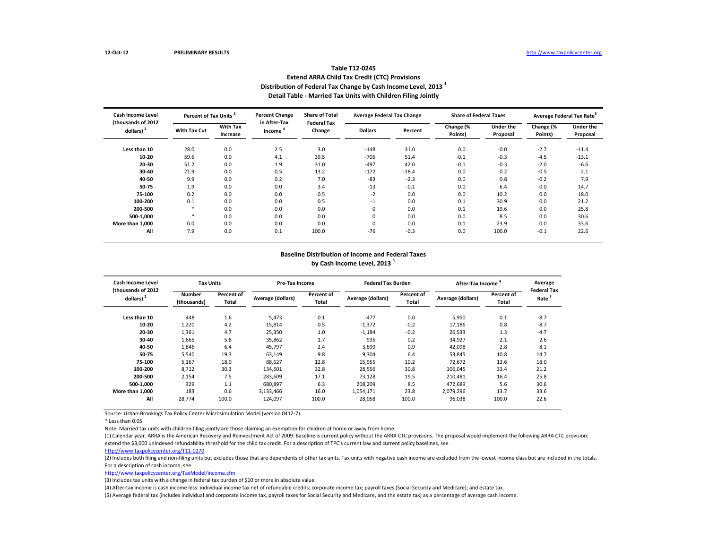# **Table T12-0245 Extend ARRA Child Tax Credit (CTC) Provisions Distribution of Federal Tax Change by Cash Income Level, 2013 <sup>1</sup> Detail Table - Married Tax Units with Children Filing Jointly**

| <b>Cash Income Level</b><br>(thousands of 2012 |                     | Percent of Tax Units <sup>3</sup> |                                     | <b>Share of Total</b><br><b>Federal Tax</b> | <b>Average Federal Tax Change</b> |         | <b>Share of Federal Taxes</b> |                              |                      | Average Federal Tax Rate <sup>5</sup> |  |
|------------------------------------------------|---------------------|-----------------------------------|-------------------------------------|---------------------------------------------|-----------------------------------|---------|-------------------------------|------------------------------|----------------------|---------------------------------------|--|
| dollars) <sup>2</sup>                          | <b>With Tax Cut</b> | <b>With Tax</b><br>Increase       | in After-Tax<br>Income <sup>4</sup> | Change                                      | <b>Dollars</b>                    | Percent | Change (%<br>Points)          | <b>Under the</b><br>Proposal | Change (%<br>Points) | <b>Under the</b><br>Proposal          |  |
| Less than 10                                   | 28.0                | 0.0                               | 2.5                                 | 3.0                                         | $-148$                            | 31.0    | 0.0                           | 0.0                          | $-2.7$               | $-11.4$                               |  |
| 10-20                                          | 59.6                | 0.0                               | 4.1                                 | 39.5                                        | $-705$                            | 51.4    | $-0.1$                        | $-0.3$                       | $-4.5$               | $-13.1$                               |  |
| 20-30                                          | 51.2                | 0.0                               | 1.9                                 | 31.0                                        | $-497$                            | 42.0    | $-0.1$                        | $-0.3$                       | $-2.0$               | $-6.6$                                |  |
| 30-40                                          | 21.9                | 0.0                               | 0.5                                 | 13.2                                        | $-172$                            | $-18.4$ | 0.0                           | 0.2                          | $-0.5$               | 2.1                                   |  |
| 40-50                                          | 9.9                 | 0.0                               | 0.2                                 | 7.0                                         | $-83$                             | $-2.3$  | 0.0                           | 0.8                          | $-0.2$               | 7.9                                   |  |
| 50-75                                          | 1.9                 | 0.0                               | 0.0                                 | 3.4                                         | $-13$                             | $-0.1$  | 0.0                           | 6.4                          | 0.0                  | 14.7                                  |  |
| 75-100                                         | 0.2                 | 0.0                               | 0.0                                 | 0.5                                         | $-2$                              | 0.0     | 0.0                           | 10.2                         | 0.0                  | 18.0                                  |  |
| 100-200                                        | 0.1                 | 0.0                               | 0.0                                 | 0.5                                         | $-1$                              | 0.0     | 0.1                           | 30.9                         | 0.0                  | 21.2                                  |  |
| 200-500                                        | *                   | 0.0                               | 0.0                                 | 0.0                                         | 0                                 | 0.0     | 0.1                           | 19.6                         | 0.0                  | 25.8                                  |  |
| 500-1.000                                      | $\ast$              | 0.0                               | 0.0                                 | 0.0                                         | 0                                 | 0.0     | 0.0                           | 8.5                          | 0.0                  | 30.6                                  |  |
| More than 1,000                                | 0.0                 | 0.0                               | 0.0                                 | 0.0                                         | 0                                 | 0.0     | 0.1                           | 23.9                         | 0.0                  | 33.6                                  |  |
| All                                            | 7.9                 | 0.0                               | 0.1                                 | 100.0                                       | $-76$                             | $-0.3$  | 0.0                           | 100.0                        | $-0.1$               | 22.6                                  |  |

#### **Baseline Distribution of Income and Federal Taxes by Cash Income Level, 2013 <sup>1</sup>**

| Cash Income Level<br>(thousands of 2012) |                              | <b>Tax Units</b>    |                   | Pre-Tax Income      |           | <b>Federal Tax Burden</b> | After-Tax Income  |                     | Average<br><b>Federal Tax</b> |
|------------------------------------------|------------------------------|---------------------|-------------------|---------------------|-----------|---------------------------|-------------------|---------------------|-------------------------------|
| dollars) <sup>2</sup>                    | <b>Number</b><br>(thousands) | Percent of<br>Total | Average (dollars) | Percent of<br>Total |           | Percent of<br>Total       | Average (dollars) | Percent of<br>Total | Rate <sup>5</sup>             |
| Less than 10                             | 448                          | 1.6                 | 5,473             | 0.1                 | $-477$    | 0.0                       | 5,950             | 0.1                 | $-8.7$                        |
| 10-20                                    | 1,220                        | 4.2                 | 15,814            | 0.5                 | $-1,372$  | $-0.2$                    | 17.186            | 0.8                 | $-8.7$                        |
| 20-30                                    | 1,361                        | 4.7                 | 25,350            | 1.0                 | $-1,184$  | $-0.2$                    | 26,533            | 1.3                 | $-4.7$                        |
| 30-40                                    | 1,665                        | 5.8                 | 35,862            | 1.7                 | 935       | 0.2                       | 34,927            | 2.1                 | 2.6                           |
| 40-50                                    | 1,846                        | 6.4                 | 45,797            | 2.4                 | 3,699     | 0.9                       | 42,098            | 2.8                 | 8.1                           |
| 50-75                                    | 5,540                        | 19.3                | 63,149            | 9.8                 | 9,304     | 6.4                       | 53,845            | 10.8                | 14.7                          |
| 75-100                                   | 5,167                        | 18.0                | 88,627            | 12.8                | 15,955    | 10.2                      | 72,672            | 13.6                | 18.0                          |
| 100-200                                  | 8,712                        | 30.3                | 134,601           | 32.8                | 28,556    | 30.8                      | 106,045           | 33.4                | 21.2                          |
| 200-500                                  | 2,154                        | 7.5                 | 283,609           | 17.1                | 73,128    | 19.5                      | 210,481           | 16.4                | 25.8                          |
| 500-1.000                                | 329                          | 1.1                 | 680.897           | 6.3                 | 208,209   | 8.5                       | 472.689           | 5.6                 | 30.6                          |
| More than 1.000                          | 183                          | 0.6                 | 3,133,466         | 16.0                | 1,054,171 | 23.8                      | 2,079,296         | 13.7                | 33.6                          |
| All                                      | 28,774                       | 100.0               | 124,097           | 100.0               | 28,058    | 100.0                     | 96,038            | 100.0               | 22.6                          |

Source: Urban-Brookings Tax Policy Center Microsimulation Model (version 0412-7).

Note: Married tax units with children filing jointly are those claiming an exemption for children at home or away from home.

(1) Calendar year. ARRA is the American Recovery and Reinvestment Act of 2009. Baseline is current policy without the ARRA CTC provisions. The proposal would implement the following ARRA CTC provision: extend the \$3,000 unindexed refundability threshold for the child tax credit. For a description of TPC's current law and current policy baselines, see

[http://www.taxpolicycente](http://www.taxpolicycenter.org/T11-0270)r.org/T11-0270

(2) Includes both filing and non-filing units but excludes those that are dependents of other tax units. Tax units with negative cash income are excluded from the lowest income class but are included in the totals. For a description of cash income, see

[http://www.taxpolicycente](http://www.taxpolicycenter.org/TaxModel/income.cfm)r.org/TaxModel/income.cfm

(3) Includes tax units with a change in federal tax burden of \$10 or more in absolute value.

(4) After-tax income is cash income less: individual income tax net of refundable credits; corporate income tax; payroll taxes (Social Security and Medicare); and estate tax.

<sup>\*</sup> Less than 0.05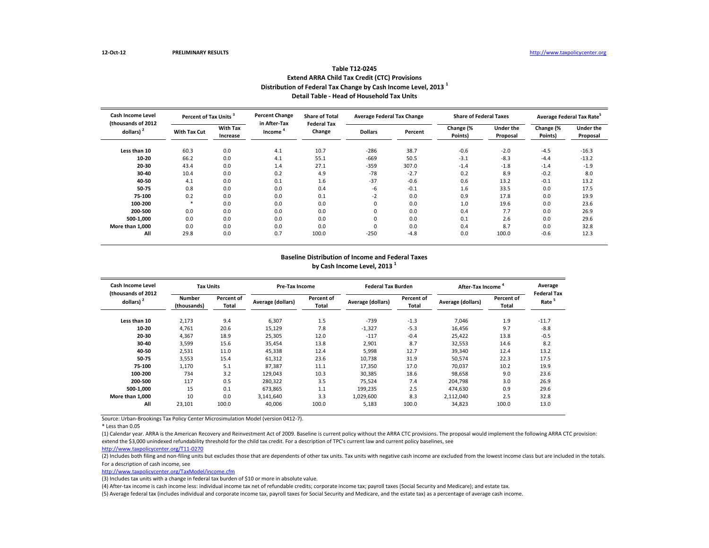| 1901e 112-0245                                                             |
|----------------------------------------------------------------------------|
| <b>Extend ARRA Child Tax Credit (CTC) Provisions</b>                       |
| Distribution of Federal Tax Change by Cash Income Level, 2013 <sup>1</sup> |
| Detail Table - Head of Household Tax Units                                 |

**Table T12-0245**

| Cash Income Level<br>Percent of Tax Units <sup>3</sup><br>(thousands of 2012 |              |                                                    | <b>Percent Change</b><br><b>Share of Total</b><br><b>Average Federal Tax Change</b><br>in After-Tax |                |         | <b>Share of Federal Taxes</b> |                              |                      | Average Federal Tax Rate <sup>5</sup> |         |
|------------------------------------------------------------------------------|--------------|----------------------------------------------------|-----------------------------------------------------------------------------------------------------|----------------|---------|-------------------------------|------------------------------|----------------------|---------------------------------------|---------|
| dollars) $2$                                                                 | With Tax Cut | <b>With Tax</b><br>Income <sup>4</sup><br>Increase | <b>Federal Tax</b><br>Change                                                                        | <b>Dollars</b> | Percent | Change (%<br>Points)          | <b>Under the</b><br>Proposal | Change (%<br>Points) | <b>Under the</b><br>Proposal          |         |
| Less than 10                                                                 | 60.3         | 0.0                                                | 4.1                                                                                                 | 10.7           | -286    | 38.7                          | $-0.6$                       | $-2.0$               | $-4.5$                                | $-16.3$ |
| 10-20                                                                        | 66.2         | 0.0                                                | 4.1                                                                                                 | 55.1           | $-669$  | 50.5                          | $-3.1$                       | $-8.3$               | $-4.4$                                | $-13.2$ |
| 20-30                                                                        | 43.4         | 0.0                                                | 1.4                                                                                                 | 27.1           | $-359$  | 307.0                         | $-1.4$                       | $-1.8$               | $-1.4$                                | $-1.9$  |
| 30-40                                                                        | 10.4         | 0.0                                                | 0.2                                                                                                 | 4.9            | $-78$   | $-2.7$                        | 0.2                          | 8.9                  | $-0.2$                                | 8.0     |
| 40-50                                                                        | 4.1          | 0.0                                                | 0.1                                                                                                 | 1.6            | $-37$   | $-0.6$                        | 0.6                          | 13.2                 | $-0.1$                                | 13.2    |
| 50-75                                                                        | 0.8          | 0.0                                                | 0.0                                                                                                 | 0.4            | -6      | $-0.1$                        | 1.6                          | 33.5                 | 0.0                                   | 17.5    |
| 75-100                                                                       | 0.2          | 0.0                                                | 0.0                                                                                                 | 0.1            | $-2$    | 0.0                           | 0.9                          | 17.8                 | 0.0                                   | 19.9    |
| 100-200                                                                      | ×            | 0.0                                                | 0.0                                                                                                 | 0.0            | 0       | 0.0                           | 1.0                          | 19.6                 | 0.0                                   | 23.6    |
| 200-500                                                                      | 0.0          | 0.0                                                | 0.0                                                                                                 | 0.0            | 0       | 0.0                           | 0.4                          | 7.7                  | 0.0                                   | 26.9    |
| 500-1,000                                                                    | 0.0          | 0.0                                                | 0.0                                                                                                 | 0.0            | 0       | 0.0                           | 0.1                          | 2.6                  | 0.0                                   | 29.6    |
| More than 1.000                                                              | 0.0          | 0.0                                                | 0.0                                                                                                 | 0.0            | 0       | 0.0                           | 0.4                          | 8.7                  | 0.0                                   | 32.8    |
| All                                                                          | 29.8         | 0.0                                                | 0.7                                                                                                 | 100.0          | $-250$  | $-4.8$                        | 0.0                          | 100.0                | $-0.6$                                | 12.3    |

#### **Baseline Distribution of Income and Federal Taxes by Cash Income Level, 2013 <sup>1</sup>**

| Cash Income Level<br>(thousands of 2012)<br>dollars) <sup>2</sup> | <b>Tax Units</b>                                           |       | <b>Pre-Tax Income</b>                    |       | <b>Federal Tax Burden</b>                |        | After-Tax Income  | Average             |                                         |
|-------------------------------------------------------------------|------------------------------------------------------------|-------|------------------------------------------|-------|------------------------------------------|--------|-------------------|---------------------|-----------------------------------------|
|                                                                   | Percent of<br><b>Number</b><br><b>Total</b><br>(thousands) |       | Percent of<br>Average (dollars)<br>Total |       | Percent of<br>Average (dollars)<br>Total |        | Average (dollars) | Percent of<br>Total | <b>Federal Tax</b><br>Rate <sup>5</sup> |
| Less than 10                                                      | 2,173                                                      | 9.4   | 6,307                                    | 1.5   | $-739$                                   | $-1.3$ | 7,046             | 1.9                 | $-11.7$                                 |
| 10-20                                                             | 4,761                                                      | 20.6  | 15,129                                   | 7.8   | $-1,327$                                 | $-5.3$ | 16,456            | 9.7                 | $-8.8$                                  |
| 20-30                                                             | 4,367                                                      | 18.9  | 25,305                                   | 12.0  | $-117$                                   | $-0.4$ | 25,422            | 13.8                | $-0.5$                                  |
| 30-40                                                             | 3,599                                                      | 15.6  | 35,454                                   | 13.8  | 2,901                                    | 8.7    | 32,553            | 14.6                | 8.2                                     |
| 40-50                                                             | 2,531                                                      | 11.0  | 45,338                                   | 12.4  | 5.998                                    | 12.7   | 39,340            | 12.4                | 13.2                                    |
| 50-75                                                             | 3,553                                                      | 15.4  | 61,312                                   | 23.6  | 10,738                                   | 31.9   | 50,574            | 22.3                | 17.5                                    |
| 75-100                                                            | 1,170                                                      | 5.1   | 87,387                                   | 11.1  | 17,350                                   | 17.0   | 70,037            | 10.2                | 19.9                                    |
| 100-200                                                           | 734                                                        | 3.2   | 129,043                                  | 10.3  | 30,385                                   | 18.6   | 98.658            | 9.0                 | 23.6                                    |
| 200-500                                                           | 117                                                        | 0.5   | 280,322                                  | 3.5   | 75,524                                   | 7.4    | 204,798           | 3.0                 | 26.9                                    |
| 500-1.000                                                         | 15                                                         | 0.1   | 673.865                                  | 1.1   | 199,235                                  | 2.5    | 474,630           | 0.9                 | 29.6                                    |
| More than 1.000                                                   | 10                                                         | 0.0   | 3,141,640                                | 3.3   | 1,029,600                                | 8.3    | 2,112,040         | 2.5                 | 32.8                                    |
| All                                                               | 23,101                                                     | 100.0 | 40,006                                   | 100.0 | 5,183                                    | 100.0  | 34,823            | 100.0               | 13.0                                    |

Source: Urban-Brookings Tax Policy Center Microsimulation Model (version 0412-7).

\* Less than 0.05

(1) Calendar year. ARRA is the American Recovery and Reinvestment Act of 2009. Baseline is current policy without the ARRA CTC provisions. The proposal would implement the following ARRA CTC provision: extend the \$3,000 unindexed refundability threshold for the child tax credit. For a description of TPC's current law and current policy baselines, see

[http://www.taxpolicycente](http://www.taxpolicycenter.org/T11-0270)r.org/T11-0270

(2) Includes both filing and non-filing units but excludes those that are dependents of other tax units. Tax units with negative cash income are excluded from the lowest income class but are included in the totals. For a description of cash income, see

[http://www.taxpolicycente](http://www.taxpolicycenter.org/TaxModel/income.cfm)r.org/TaxModel/income.cfm

(3) Includes tax units with a change in federal tax burden of \$10 or more in absolute value.

(4) After-tax income is cash income less: individual income tax net of refundable credits; corporate income tax; payroll taxes (Social Security and Medicare); and estate tax.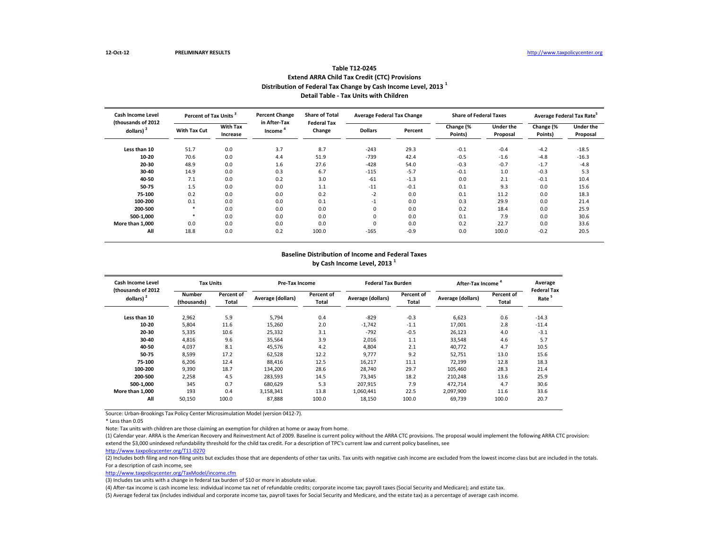### **Table T12-0245 Extend ARRA Child Tax Credit (CTC) Provisions Distribution of Federal Tax Change by Cash Income Level, 2013 <sup>1</sup> Detail Table - Tax Units with Children**

| <b>Cash Income Level</b><br>(thousands of 2012)<br>dollars) $2$ | Percent of Tax Units <sup>3</sup> |                             | <b>Percent Change</b><br>in After-Tax | <b>Share of Total</b><br><b>Federal Tax</b> | <b>Average Federal Tax Change</b> |         | <b>Share of Federal Taxes</b> |                              | Average Federal Tax Rate <sup>5</sup> |                              |
|-----------------------------------------------------------------|-----------------------------------|-----------------------------|---------------------------------------|---------------------------------------------|-----------------------------------|---------|-------------------------------|------------------------------|---------------------------------------|------------------------------|
|                                                                 | <b>With Tax Cut</b>               | <b>With Tax</b><br>Increase | Income                                | Change                                      | <b>Dollars</b>                    | Percent | Change (%<br>Points)          | <b>Under the</b><br>Proposal | Change (%<br>Points)                  | <b>Under the</b><br>Proposal |
| Less than 10                                                    | 51.7                              | 0.0                         | 3.7                                   | 8.7                                         | $-243$                            | 29.3    | $-0.1$                        | $-0.4$                       | $-4.2$                                | $-18.5$                      |
| 10-20                                                           | 70.6                              | 0.0                         | 4.4                                   | 51.9                                        | $-739$                            | 42.4    | $-0.5$                        | $-1.6$                       | $-4.8$                                | $-16.3$                      |
| 20-30                                                           | 48.9                              | 0.0                         | 1.6                                   | 27.6                                        | $-428$                            | 54.0    | $-0.3$                        | $-0.7$                       | $-1.7$                                | $-4.8$                       |
| 30-40                                                           | 14.9                              | 0.0                         | 0.3                                   | 6.7                                         | $-115$                            | $-5.7$  | $-0.1$                        | 1.0                          | $-0.3$                                | 5.3                          |
| 40-50                                                           | 7.1                               | 0.0                         | 0.2                                   | 3.0                                         | $-61$                             | $-1.3$  | 0.0                           | 2.1                          | $-0.1$                                | 10.4                         |
| 50-75                                                           | 1.5                               | 0.0                         | 0.0                                   | 1.1                                         | $-11$                             | $-0.1$  | 0.1                           | 9.3                          | 0.0                                   | 15.6                         |
| 75-100                                                          | 0.2                               | 0.0                         | 0.0                                   | 0.2                                         | $-2$                              | 0.0     | 0.1                           | 11.2                         | 0.0                                   | 18.3                         |
| 100-200                                                         | 0.1                               | 0.0                         | 0.0                                   | 0.1                                         | $-1$                              | 0.0     | 0.3                           | 29.9                         | 0.0                                   | 21.4                         |
| 200-500                                                         |                                   | 0.0                         | 0.0                                   | 0.0                                         | 0                                 | 0.0     | 0.2                           | 18.4                         | 0.0                                   | 25.9                         |
| 500-1.000                                                       | *                                 | 0.0                         | 0.0                                   | 0.0                                         | 0                                 | 0.0     | 0.1                           | 7.9                          | 0.0                                   | 30.6                         |
| More than 1.000                                                 | 0.0                               | 0.0                         | 0.0                                   | 0.0                                         | 0                                 | 0.0     | 0.2                           | 22.7                         | 0.0                                   | 33.6                         |
| All                                                             | 18.8                              | 0.0                         | 0.2                                   | 100.0                                       | $-165$                            | $-0.9$  | 0.0                           | 100.0                        | $-0.2$                                | 20.5                         |

#### **Baseline Distribution of Income and Federal Taxes by Cash Income Level, 2013 <sup>1</sup>**

| Cash Income Level<br>(thousands of 2012<br>dollars) <sup>2</sup> | <b>Tax Units</b>             |                     | Pre-Tax Income    |                     | <b>Federal Tax Burden</b> |                     | After-Tax Income  | Average             |                                         |
|------------------------------------------------------------------|------------------------------|---------------------|-------------------|---------------------|---------------------------|---------------------|-------------------|---------------------|-----------------------------------------|
|                                                                  | <b>Number</b><br>(thousands) | Percent of<br>Total | Average (dollars) | Percent of<br>Total | <b>Average (dollars)</b>  | Percent of<br>Total | Average (dollars) | Percent of<br>Total | <b>Federal Tax</b><br>Rate <sup>5</sup> |
| Less than 10                                                     | 2,962                        | 5.9                 | 5.794             | 0.4                 | $-829$                    | $-0.3$              | 6,623             | 0.6                 | $-14.3$                                 |
| 10-20                                                            | 5,804                        | 11.6                | 15,260            | 2.0                 | $-1,742$                  | $-1.1$              | 17,001            | 2.8                 | $-11.4$                                 |
| 20-30                                                            | 5,335                        | 10.6                | 25,332            | 3.1                 | $-792$                    | $-0.5$              | 26,123            | 4.0                 | $-3.1$                                  |
| 30-40                                                            | 4.816                        | 9.6                 | 35,564            | 3.9                 | 2.016                     | 1.1                 | 33,548            | 4.6                 | 5.7                                     |
| 40-50                                                            | 4,037                        | 8.1                 | 45,576            | 4.2                 | 4,804                     | 2.1                 | 40,772            | 4.7                 | 10.5                                    |
| 50-75                                                            | 8,599                        | 17.2                | 62,528            | 12.2                | 9,777                     | 9.2                 | 52,751            | 13.0                | 15.6                                    |
| 75-100                                                           | 6,206                        | 12.4                | 88.416            | 12.5                | 16,217                    | 11.1                | 72.199            | 12.8                | 18.3                                    |
| 100-200                                                          | 9,390                        | 18.7                | 134,200           | 28.6                | 28,740                    | 29.7                | 105,460           | 28.3                | 21.4                                    |
| 200-500                                                          | 2,258                        | 4.5                 | 283,593           | 14.5                | 73,345                    | 18.2                | 210,248           | 13.6                | 25.9                                    |
| 500-1.000                                                        | 345                          | 0.7                 | 680.629           | 5.3                 | 207,915                   | 7.9                 | 472.714           | 4.7                 | 30.6                                    |
| More than 1.000                                                  | 193                          | 0.4                 | 3,158,341         | 13.8                | 1,060,441                 | 22.5                | 2.097.900         | 11.6                | 33.6                                    |
| All                                                              | 50,150                       | 100.0               | 87,888            | 100.0               | 18,150                    | 100.0               | 69,739            | 100.0               | 20.7                                    |

Source: Urban-Brookings Tax Policy Center Microsimulation Model (version 0412-7).

Note: Tax units with children are those claiming an exemption for children at home or away from home.

(1) Calendar year. ARRA is the American Recovery and Reinvestment Act of 2009. Baseline is current policy without the ARRA CTC provisions. The proposal would implement the following ARRA CTC provision: extend the \$3,000 unindexed refundability threshold for the child tax credit. For a description of TPC's current law and current policy baselines, see

(2) Includes both filing and non-filing units but excludes those that are dependents of other tax units. Tax units with negative cash income are excluded from the lowest income class but are included in the totals. For a description of cash income, see

[http://www.taxpolicycente](http://www.taxpolicycenter.org/TaxModel/income.cfm)r.org/TaxModel/income.cfm

(3) Includes tax units with a change in federal tax burden of \$10 or more in absolute value.

(4) After-tax income is cash income less: individual income tax net of refundable credits; corporate income tax; payroll taxes (Social Security and Medicare); and estate tax.

<sup>\*</sup> Less than 0.05

[http://www.taxpolicycente](http://www.taxpolicycenter.org/T11-0270)r.org/T11-0270